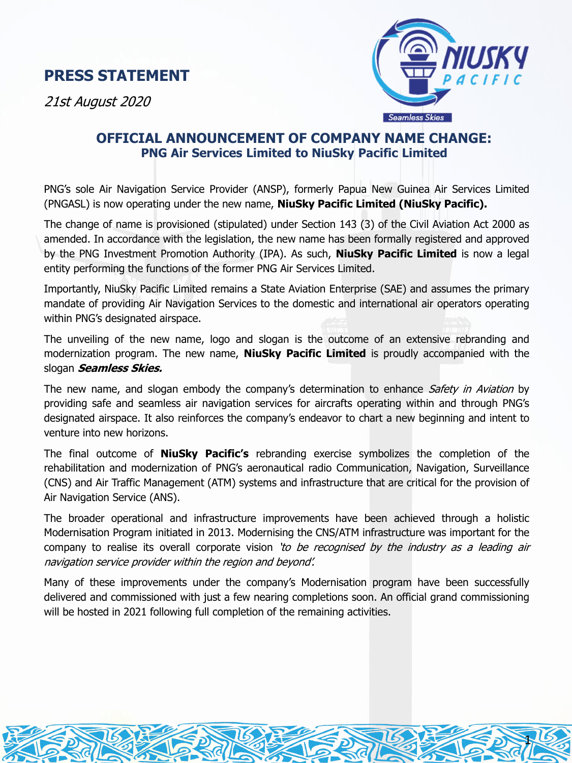## **PRESS STATEMENT**

21st August 2020



1

## **OFFICIAL ANNOUNCEMENT OF COMPANY NAME CHANGE: PNG Air Services Limited to NiuSky Pacific Limited**

PNG's sole Air Navigation Service Provider (ANSP), formerly Papua New Guinea Air Services Limited (PNGASL) is now operating under the new name, **NiuSky Pacific Limited (NiuSky Pacific).**

The change of name is provisioned (stipulated) under Section 143 (3) of the Civil Aviation Act 2000 as amended. In accordance with the legislation, the new name has been formally registered and approved by the PNG Investment Promotion Authority (IPA). As such, **NiuSky Pacific Limited** is now a legal entity performing the functions of the former PNG Air Services Limited.

Importantly, NiuSky Pacific Limited remains a State Aviation Enterprise (SAE) and assumes the primary mandate of providing Air Navigation Services to the domestic and international air operators operating within PNG's designated airspace.

The unveiling of the new name, logo and slogan is the outcome of an extensive rebranding and modernization program. The new name, **NiuSky Pacific Limited** is proudly accompanied with the slogan **Seamless Skies.**

The new name, and slogan embody the company's determination to enhance Safety in Aviation by providing safe and seamless air navigation services for aircrafts operating within and through PNG's designated airspace. It also reinforces the company's endeavor to chart a new beginning and intent to venture into new horizons.

The final outcome of **NiuSky Pacific's** rebranding exercise symbolizes the completion of the rehabilitation and modernization of PNG's aeronautical radio Communication, Navigation, Surveillance (CNS) and Air Traffic Management (ATM) systems and infrastructure that are critical for the provision of Air Navigation Service (ANS).

The broader operational and infrastructure improvements have been achieved through a holistic Modernisation Program initiated in 2013. Modernising the CNS/ATM infrastructure was important for the company to realise its overall corporate vision 'to be recognised by the industry as a leading air navigation service provider within the region and beyond'.

Many of these improvements under the company's Modernisation program have been successfully delivered and commissioned with just a few nearing completions soon. An official grand commissioning will be hosted in 2021 following full completion of the remaining activities.